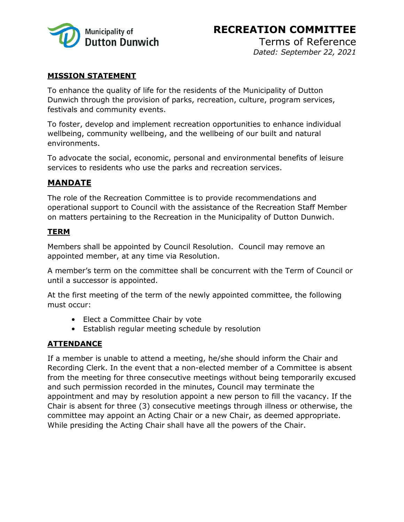

Terms of Reference *Dated: September 22, 2021*

#### **MISSION STATEMENT**

To enhance the quality of life for the residents of the Municipality of Dutton Dunwich through the provision of parks, recreation, culture, program services, festivals and community events.

To foster, develop and implement recreation opportunities to enhance individual wellbeing, community wellbeing, and the wellbeing of our built and natural environments.

To advocate the social, economic, personal and environmental benefits of leisure services to residents who use the parks and recreation services.

### **MANDATE**

The role of the Recreation Committee is to provide recommendations and operational support to Council with the assistance of the Recreation Staff Member on matters pertaining to the Recreation in the Municipality of Dutton Dunwich.

#### **TERM**

Members shall be appointed by Council Resolution. Council may remove an appointed member, at any time via Resolution.

A member's term on the committee shall be concurrent with the Term of Council or until a successor is appointed.

At the first meeting of the term of the newly appointed committee, the following must occur:

- Elect a Committee Chair by vote
- Establish regular meeting schedule by resolution

#### **ATTENDANCE**

If a member is unable to attend a meeting, he/she should inform the Chair and Recording Clerk. In the event that a non-elected member of a Committee is absent from the meeting for three consecutive meetings without being temporarily excused and such permission recorded in the minutes, Council may terminate the appointment and may by resolution appoint a new person to fill the vacancy. If the Chair is absent for three (3) consecutive meetings through illness or otherwise, the committee may appoint an Acting Chair or a new Chair, as deemed appropriate. While presiding the Acting Chair shall have all the powers of the Chair.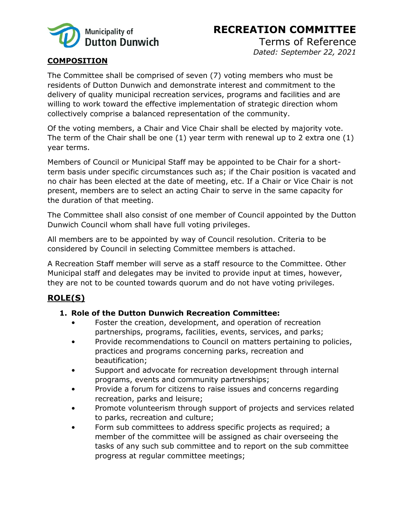

Terms of Reference *Dated: September 22, 2021*

### **COMPOSITION**

The Committee shall be comprised of seven (7) voting members who must be residents of Dutton Dunwich and demonstrate interest and commitment to the delivery of quality municipal recreation services, programs and facilities and are willing to work toward the effective implementation of strategic direction whom collectively comprise a balanced representation of the community.

Of the voting members, a Chair and Vice Chair shall be elected by majority vote. The term of the Chair shall be one (1) year term with renewal up to 2 extra one (1) year terms.

Members of Council or Municipal Staff may be appointed to be Chair for a shortterm basis under specific circumstances such as; if the Chair position is vacated and no chair has been elected at the date of meeting, etc. If a Chair or Vice Chair is not present, members are to select an acting Chair to serve in the same capacity for the duration of that meeting.

The Committee shall also consist of one member of Council appointed by the Dutton Dunwich Council whom shall have full voting privileges.

All members are to be appointed by way of Council resolution. Criteria to be considered by Council in selecting Committee members is attached.

A Recreation Staff member will serve as a staff resource to the Committee. Other Municipal staff and delegates may be invited to provide input at times, however, they are not to be counted towards quorum and do not have voting privileges.

## **ROLE(S)**

#### **1. Role of the Dutton Dunwich Recreation Committee:**

- Foster the creation, development, and operation of recreation partnerships, programs, facilities, events, services, and parks;
- Provide recommendations to Council on matters pertaining to policies, practices and programs concerning parks, recreation and beautification;
- Support and advocate for recreation development through internal programs, events and community partnerships;
- Provide a forum for citizens to raise issues and concerns regarding recreation, parks and leisure;
- Promote volunteerism through support of projects and services related to parks, recreation and culture;
- Form sub committees to address specific projects as required; a member of the committee will be assigned as chair overseeing the tasks of any such sub committee and to report on the sub committee progress at regular committee meetings;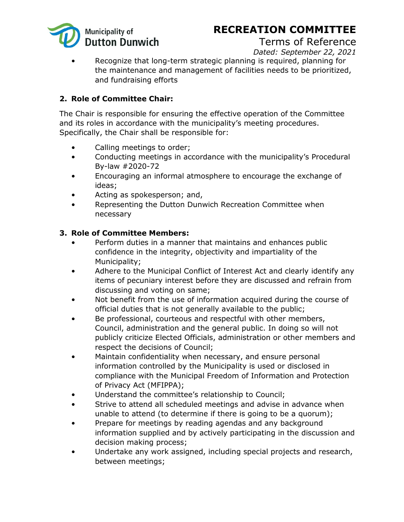

Terms of Reference *Dated: September 22, 2021*

Recognize that long-term strategic planning is required, planning for the maintenance and management of facilities needs to be prioritized, and fundraising efforts

## **2. Role of Committee Chair:**

The Chair is responsible for ensuring the effective operation of the Committee and its roles in accordance with the municipality's meeting procedures. Specifically, the Chair shall be responsible for:

- Calling meetings to order;
- Conducting meetings in accordance with the municipality's Procedural By-law #2020-72
- Encouraging an informal atmosphere to encourage the exchange of ideas;
- Acting as spokesperson; and,
- Representing the Dutton Dunwich Recreation Committee when necessary

## **3. Role of Committee Members:**

- Perform duties in a manner that maintains and enhances public confidence in the integrity, objectivity and impartiality of the Municipality;
- Adhere to the Municipal Conflict of Interest Act and clearly identify any items of pecuniary interest before they are discussed and refrain from discussing and voting on same;
- Not benefit from the use of information acquired during the course of official duties that is not generally available to the public;
- Be professional, courteous and respectful with other members, Council, administration and the general public. In doing so will not publicly criticize Elected Officials, administration or other members and respect the decisions of Council;
- Maintain confidentiality when necessary, and ensure personal information controlled by the Municipality is used or disclosed in compliance with the Municipal Freedom of Information and Protection of Privacy Act (MFIPPA);
- Understand the committee's relationship to Council;
- Strive to attend all scheduled meetings and advise in advance when unable to attend (to determine if there is going to be a quorum);
- Prepare for meetings by reading agendas and any background information supplied and by actively participating in the discussion and decision making process;
- Undertake any work assigned, including special projects and research, between meetings;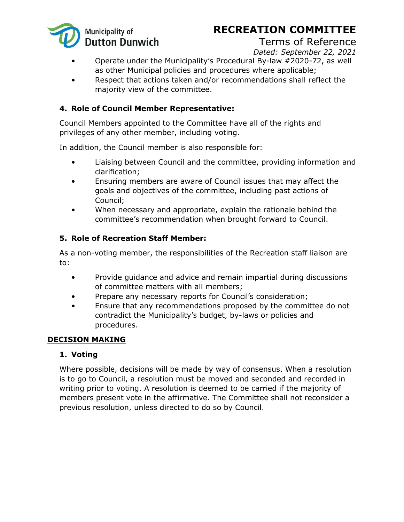

Terms of Reference

*Dated: September 22, 2021*

- Operate under the Municipality's Procedural By-law #2020-72, as well as other Municipal policies and procedures where applicable;
- Respect that actions taken and/or recommendations shall reflect the majority view of the committee.

## **4. Role of Council Member Representative:**

Council Members appointed to the Committee have all of the rights and privileges of any other member, including voting.

In addition, the Council member is also responsible for:

- Liaising between Council and the committee, providing information and clarification;
- Ensuring members are aware of Council issues that may affect the goals and objectives of the committee, including past actions of Council;
- When necessary and appropriate, explain the rationale behind the committee's recommendation when brought forward to Council.

## **5. Role of Recreation Staff Member:**

As a non-voting member, the responsibilities of the Recreation staff liaison are to:

- Provide guidance and advice and remain impartial during discussions of committee matters with all members;
- Prepare any necessary reports for Council's consideration;
- Ensure that any recommendations proposed by the committee do not contradict the Municipality's budget, by-laws or policies and procedures.

### **DECISION MAKING**

### **1. Voting**

Where possible, decisions will be made by way of consensus. When a resolution is to go to Council, a resolution must be moved and seconded and recorded in writing prior to voting. A resolution is deemed to be carried if the majority of members present vote in the affirmative. The Committee shall not reconsider a previous resolution, unless directed to do so by Council.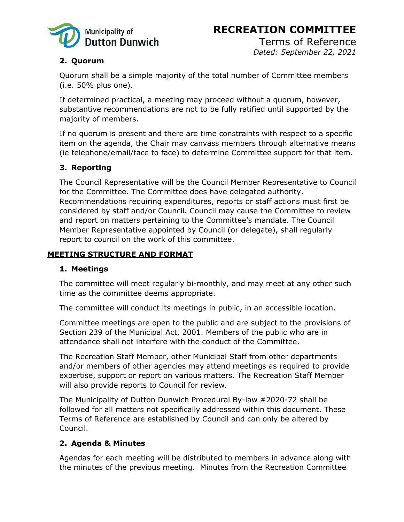

Terms of Reference *Dated: September 22, 2021*

## **2. Quorum**

Quorum shall be a simple majority of the total number of Committee members (i.e. 50% plus one).

If determined practical, a meeting may proceed without a quorum, however, substantive recommendations are not to be fully ratified until supported by the majority of members.

If no quorum is present and there are time constraints with respect to a specific item on the agenda, the Chair may canvass members through alternative means (ie telephone/email/face to face) to determine Committee support for that item.

## **3. Reporting**

The Council Representative will be the Council Member Representative to Council for the Committee. The Committee does have delegated authority. Recommendations requiring expenditures, reports or staff actions must first be considered by staff and/or Council. Council may cause the Committee to review and report on matters pertaining to the Committee's mandate. The Council Member Representative appointed by Council (or delegate), shall regularly report to council on the work of this committee.

#### **MEETING STRUCTURE AND FORMAT**

#### **1. Meetings**

The committee will meet regularly bi-monthly, and may meet at any other such time as the committee deems appropriate.

The committee will conduct its meetings in public, in an accessible location.

Committee meetings are open to the public and are subject to the provisions of Section 239 of the Municipal Act, 2001. Members of the public who are in attendance shall not interfere with the conduct of the Committee.

The Recreation Staff Member, other Municipal Staff from other departments and/or members of other agencies may attend meetings as required to provide expertise, support or report on various matters. The Recreation Staff Member will also provide reports to Council for review.

The Municipality of Dutton Dunwich Procedural By-law #2020-72 shall be followed for all matters not specifically addressed within this document. These Terms of Reference are established by Council and can only be altered by Council.

## **2. Agenda & Minutes**

Agendas for each meeting will be distributed to members in advance along with the minutes of the previous meeting. Minutes from the Recreation Committee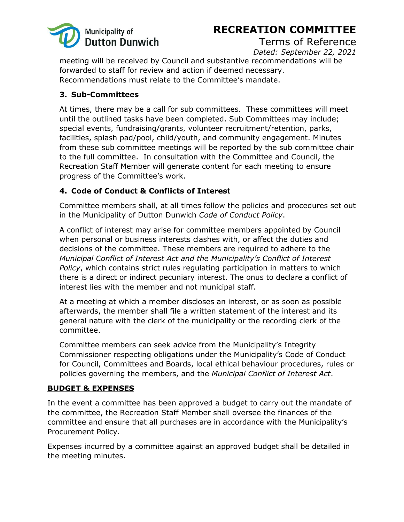# **Municipality of Dutton Dunwich**

# **RECREATION COMMITTEE**

Terms of Reference *Dated: September 22, 2021*

meeting will be received by Council and substantive recommendations will be forwarded to staff for review and action if deemed necessary. Recommendations must relate to the Committee's mandate.

## **3. Sub-Committees**

At times, there may be a call for sub committees. These committees will meet until the outlined tasks have been completed. Sub Committees may include; special events, fundraising/grants, volunteer recruitment/retention, parks, facilities, splash pad/pool, child/youth, and community engagement. Minutes from these sub committee meetings will be reported by the sub committee chair to the full committee. In consultation with the Committee and Council, the Recreation Staff Member will generate content for each meeting to ensure progress of the Committee's work.

## **4. Code of Conduct & Conflicts of Interest**

Committee members shall, at all times follow the policies and procedures set out in the Municipality of Dutton Dunwich *Code of Conduct Policy*.

A conflict of interest may arise for committee members appointed by Council when personal or business interests clashes with, or affect the duties and decisions of the committee. These members are required to adhere to the *Municipal Conflict of Interest Act and the Municipality's Conflict of Interest Policy*, which contains strict rules regulating participation in matters to which there is a direct or indirect pecuniary interest. The onus to declare a conflict of interest lies with the member and not municipal staff.

At a meeting at which a member discloses an interest, or as soon as possible afterwards, the member shall file a written statement of the interest and its general nature with the clerk of the municipality or the recording clerk of the committee.

Committee members can seek advice from the Municipality's Integrity Commissioner respecting obligations under the Municipality's Code of Conduct for Council, Committees and Boards, local ethical behaviour procedures, rules or policies governing the members, and the *Municipal Conflict of Interest Act*.

### **BUDGET & EXPENSES**

In the event a committee has been approved a budget to carry out the mandate of the committee, the Recreation Staff Member shall oversee the finances of the committee and ensure that all purchases are in accordance with the Municipality's Procurement Policy.

Expenses incurred by a committee against an approved budget shall be detailed in the meeting minutes.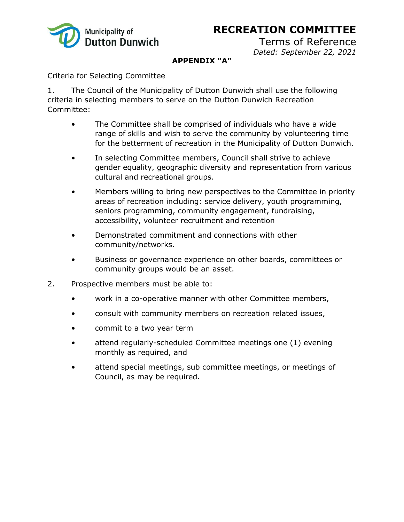

Terms of Reference *Dated: September 22, 2021*

#### **APPENDIX "A"**

Criteria for Selecting Committee

1. The Council of the Municipality of Dutton Dunwich shall use the following criteria in selecting members to serve on the Dutton Dunwich Recreation Committee:

- The Committee shall be comprised of individuals who have a wide range of skills and wish to serve the community by volunteering time for the betterment of recreation in the Municipality of Dutton Dunwich.
- In selecting Committee members, Council shall strive to achieve gender equality, geographic diversity and representation from various cultural and recreational groups.
- Members willing to bring new perspectives to the Committee in priority areas of recreation including: service delivery, youth programming, seniors programming, community engagement, fundraising, accessibility, volunteer recruitment and retention
- Demonstrated commitment and connections with other community/networks.
- Business or governance experience on other boards, committees or community groups would be an asset.
- 2. Prospective members must be able to:
	- work in a co-operative manner with other Committee members,
	- consult with community members on recreation related issues,
	- commit to a two year term
	- attend regularly-scheduled Committee meetings one (1) evening monthly as required, and
	- attend special meetings, sub committee meetings, or meetings of Council, as may be required.